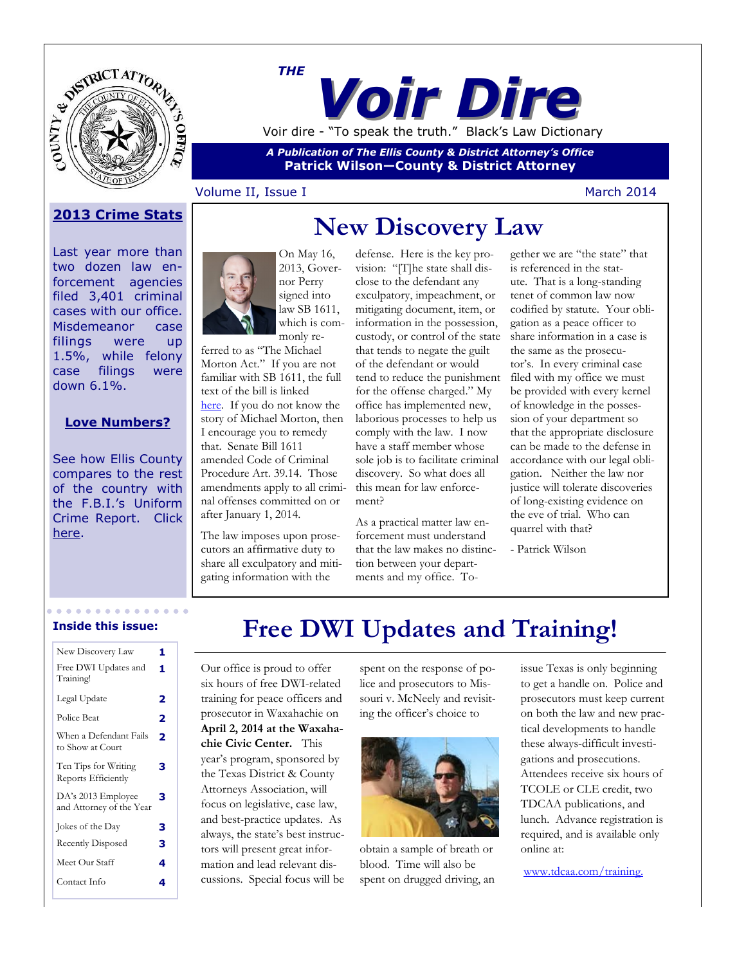

*Voir Dire THE* Voir dire - "To speak the truth." Black's Law Dictionary

*A Publication of The Ellis County & District Attorney's Office* **Patrick Wilson—County & District Attorney**

### Volume II, Issue I March 2014

# **New Discovery Law 2013 Crime Stats**

Last year more than two dozen law enforcement agencies filed 3,401 criminal cases with our office. Misdemeanor case filings were up 1.5%, while felony case filings were down 6.1%.

### **Love Numbers?**

See how Ellis County compares to the rest of the country with the F.B.I.'s Uniform Crime Report. Click [here.](http://www.fbi.gov/about-us/cjis/ucr/crime-in-the-u.s/2012/crime-in-the-u.s.-2012)



which is commonly referred to as "The Michael Morton Act." If you are not familiar with SB 1611, the full text of the bill is linked [here.](http://www.capitol.state.tx.us/tlodocs/83R/billtext/html/SB01611F.htm) If you do not know the story of Michael Morton, then I encourage you to remedy that. Senate Bill 1611 amended Code of Criminal Procedure Art. 39.14. Those amendments apply to all criminal offenses committed on or

The law imposes upon prosecutors an affirmative duty to share all exculpatory and mitigating information with the

after January 1, 2014.

defense. Here is the key provision: "[T]he state shall disclose to the defendant any exculpatory, impeachment, or mitigating document, item, or information in the possession, custody, or control of the state that tends to negate the guilt of the defendant or would tend to reduce the punishment for the offense charged." My office has implemented new, laborious processes to help us comply with the law. I now have a staff member whose sole job is to facilitate criminal discovery. So what does all this mean for law enforcement?

As a practical matter law enforcement must understand that the law makes no distinction between your departments and my office. To-

gether we are "the state" that is referenced in the statute. That is a long-standing tenet of common law now codified by statute. Your obligation as a peace officer to share information in a case is the same as the prosecutor's. In every criminal case filed with my office we must be provided with every kernel of knowledge in the possession of your department so that the appropriate disclosure can be made to the defense in accordance with our legal obligation. Neither the law nor justice will tolerate discoveries of long-existing evidence on the eve of trial. Who can quarrel with that?

- Patrick Wilson

#### **Inside this issue:**

| New Discovery Law                              | 1 |
|------------------------------------------------|---|
| Free DWI Updates and<br>Training!              | 1 |
| Legal Update                                   | 2 |
| Police Beat                                    | 2 |
| When a Defendant Fails<br>to Show at Court     | 2 |
| Ten Tips for Writing<br>Reports Efficiently    | З |
| DA's 2013 Employee<br>and Attorney of the Year | 3 |
| Jokes of the Day                               | 3 |
| Recently Disposed                              | 3 |
| Meet Our Staff                                 | 4 |
| Contact Info                                   |   |
|                                                |   |

# **Free DWI Updates and Training!**

Our office is proud to offer six hours of free DWI-related training for peace officers and prosecutor in Waxahachie on **April 2, 2014 at the Waxahachie Civic Center.** This year's program, sponsored by the Texas District & County Attorneys Association, will focus on legislative, case law, and best-practice updates. As always, the state's best instructors will present great information and lead relevant discussions. Special focus will be

spent on the response of police and prosecutors to Missouri v. McNeely and revisiting the officer's choice to



obtain a sample of breath or blood. Time will also be spent on drugged driving, an

issue Texas is only beginning to get a handle on. Police and prosecutors must keep current on both the law and new practical developments to handle these always-difficult investigations and prosecutions. Attendees receive six hours of TCOLE or CLE credit, two TDCAA publications, and lunch. Advance registration is required, and is available only online at:

[www.tdcaa.com/training.](http://www.tdcaa.com/training)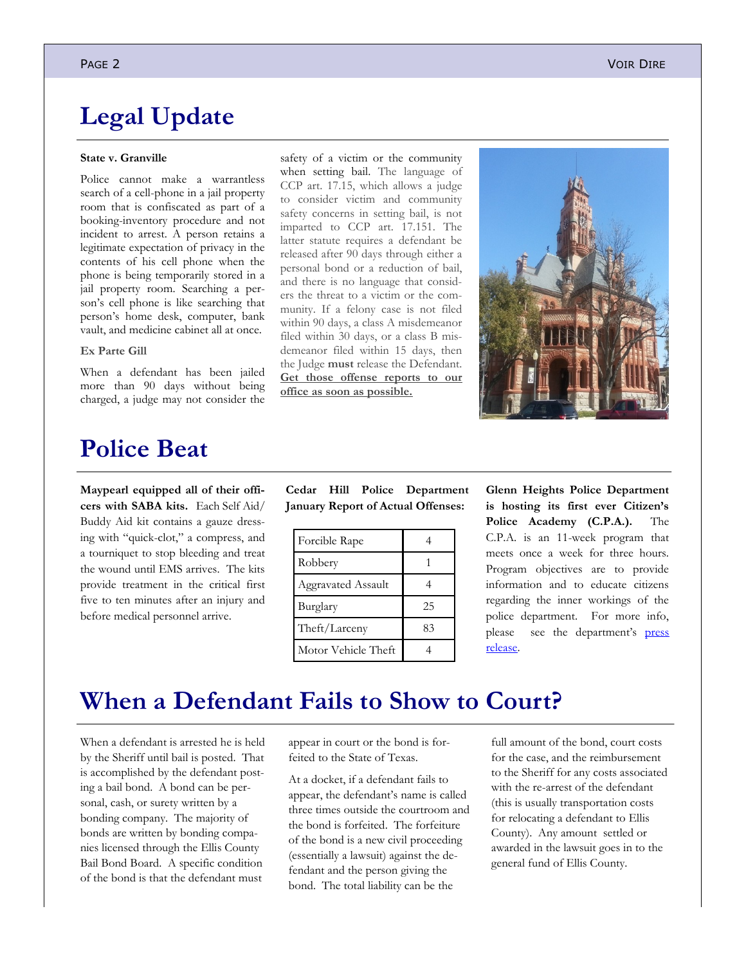# **Legal Update**

#### **State v. Granville**

Police cannot make a warrantless search of a cell-phone in a jail property room that is confiscated as part of a booking-inventory procedure and not incident to arrest. A person retains a legitimate expectation of privacy in the contents of his cell phone when the phone is being temporarily stored in a jail property room. Searching a person's cell phone is like searching that person's home desk, computer, bank vault, and medicine cabinet all at once.

#### **Ex Parte Gill**

When a defendant has been jailed more than 90 days without being charged, a judge may not consider the

### **Police Beat**

**Maypearl equipped all of their officers with SABA kits.** Each Self Aid/ Buddy Aid kit contains a gauze dressing with "quick-clot," a compress, and a tourniquet to stop bleeding and treat the wound until EMS arrives. The kits provide treatment in the critical first five to ten minutes after an injury and before medical personnel arrive.

when setting bail. The language of CCP art. 17.15, which allows a judge to consider victim and community safety concerns in setting bail, is not imparted to CCP art. 17.151. The latter statute requires a defendant be released after 90 days through either a personal bond or a reduction of bail, and there is no language that considers the threat to a victim or the community. If a felony case is not filed within 90 days, a class A misdemeanor filed within 30 days, or a class B misdemeanor filed within 15 days, then the Judge **must** release the Defendant. **Get those offense reports to our office as soon as possible.**

safety of a victim or the community



|  | Cedar Hill Police Department       |
|--|------------------------------------|
|  | January Report of Actual Offenses: |

| Forcible Rape       |    |
|---------------------|----|
| Robbery             |    |
| Aggravated Assault  |    |
| Burglary            | 25 |
| Theft/Larceny       | 83 |
| Motor Vehicle Theft |    |

**Glenn Heights Police Department is hosting its first ever Citizen's Police Academy (C.P.A.).** The C.P.A. is an 11-week program that meets once a week for three hours. Program objectives are to provide information and to educate citizens regarding the inner workings of the police department. For more info, please see the department's [press](http://www.glennheights.com/documents/notices/CPA%20022414_022814.pdf)  [release.](http://www.glennheights.com/documents/notices/CPA%20022414_022814.pdf)

# **When a Defendant Fails to Show to Court?**

When a defendant is arrested he is held by the Sheriff until bail is posted. That is accomplished by the defendant posting a bail bond. A bond can be personal, cash, or surety written by a bonding company. The majority of bonds are written by bonding companies licensed through the Ellis County Bail Bond Board. A specific condition of the bond is that the defendant must

appear in court or the bond is forfeited to the State of Texas.

At a docket, if a defendant fails to appear, the defendant's name is called three times outside the courtroom and the bond is forfeited. The forfeiture of the bond is a new civil proceeding (essentially a lawsuit) against the defendant and the person giving the bond. The total liability can be the

full amount of the bond, court costs for the case, and the reimbursement to the Sheriff for any costs associated with the re-arrest of the defendant (this is usually transportation costs for relocating a defendant to Ellis County). Any amount settled or awarded in the lawsuit goes in to the general fund of Ellis County.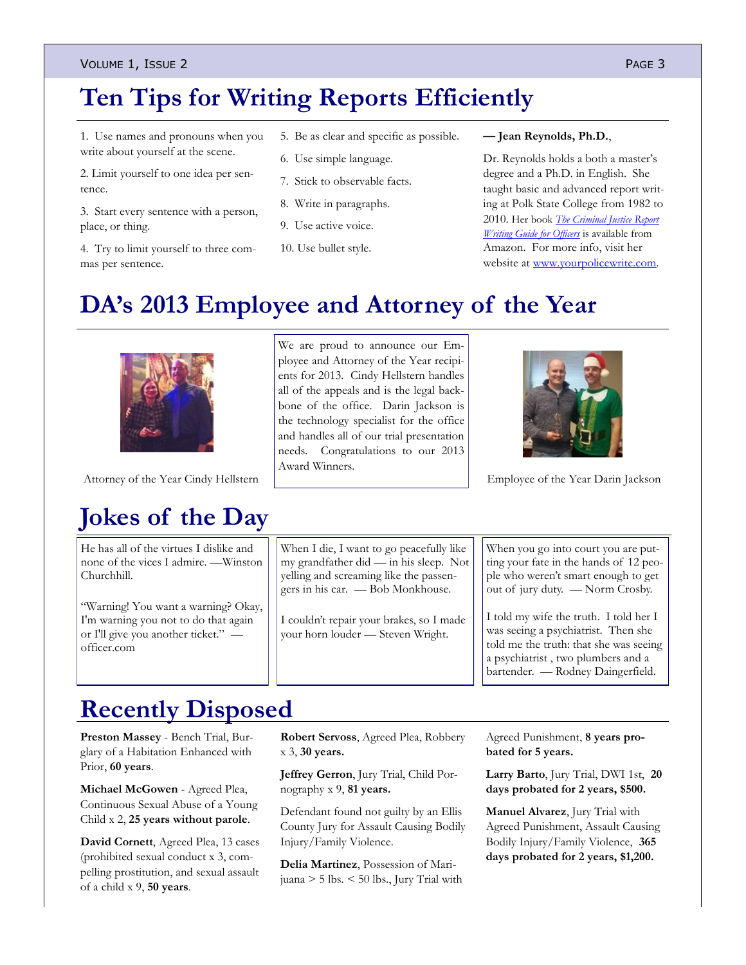### VOLUME 1, ISSUE 2 PAGE 3

# **Ten Tips for Writing Reports Efficiently**

1. Use names and pronouns when you write about yourself at the scene.

2. Limit yourself to one idea per sentence.

3. Start every sentence with a person, place, or thing.

4. Try to limit yourself to three commas per sentence.

- 5. Be as clear and specific as possible.
- 6. Use simple language.
- 7. Stick to observable facts.
- 8. Write in paragraphs.
- 9. Use active voice.

### 10. Use bullet style.

#### **— Jean Reynolds, Ph.D.**,

Dr. Reynolds holds a both a master's degree and a Ph.D. in English. She taught basic and advanced report writing at Polk State College from 1982 to 2010. Her book *[The Criminal Justice Report](http://amzn.com/0578082942)  [Writing Guide for Officers](http://amzn.com/0578082942)* is available from Amazon. For more info, visit her website at [www.yourpolicewrite.com.](http://yourpolicewrite.com/)

# **DA's 2013 Employee and Attorney of the Year**

# **Jokes of the Day**

[He has all of the virtues I dislike and](http://www.brainyquote.com/quotes/quotes/w/winstonchu100131.html)  [none of the vices I admire.](http://www.brainyquote.com/quotes/quotes/w/winstonchu100131.html) —Winston Churchhill.

"Warning! You want a warning? Okay, I'm warning you not to do that again or I'll give you another ticket." officer.com

We are proud to announce our Employee and Attorney of the Year recipients for 2013. Cindy Hellstern handles all of the appeals and is the legal backbone of the office. Darin Jackson is the technology specialist for the office and handles all of our trial presentation needs. Congratulations to our 2013 Award Winners.

Attorney of the Year Cindy Hellstern Fund Attorney of the Year Darin Jackson

When I die, I want to go peacefully like my grandfather did — in his sleep. Not yelling and screaming like the passengers in his car. — Bob Monkhouse.

I couldn't repair your brakes, so I made your horn louder — Steven Wright.

When you go into court you are putting your fate in the hands of 12 people who weren't smart enough to get out of jury duty. — Norm Crosby.

I told my wife the truth. I told her I was seeing a psychiatrist. Then she told me the truth: that she was seeing a psychiatrist , two plumbers and a bartender. — Rodney Daingerfield.

# **Recently Disposed**

**Preston Massey** - Bench Trial, Burglary of a Habitation Enhanced with Prior, **60 years**.

**Michael McGowen** - Agreed Plea, Continuous Sexual Abuse of a Young Child x 2, **25 years without parole**.

**David Cornett**, Agreed Plea, 13 cases (prohibited sexual conduct x 3, compelling prostitution, and sexual assault of a child x 9, **50 years**.

**Robert Servoss**, Agreed Plea, Robbery x 3, **30 years.**

**Jeffrey Gerron**, Jury Trial, Child Pornography x 9, **81 years.**

Defendant found not guilty by an Ellis County Jury for Assault Causing Bodily Injury/Family Violence.

**Delia Martinez**, Possession of Marijuana > 5 lbs. < 50 lbs., Jury Trial with Agreed Punishment, **8 years probated for 5 years.**

**Larry Barto**, Jury Trial, DWI 1st, **20 days probated for 2 years, \$500.**

**Manuel Alvarez**, Jury Trial with Agreed Punishment, Assault Causing Bodily Injury/Family Violence, **365 days probated for 2 years, \$1,200.**